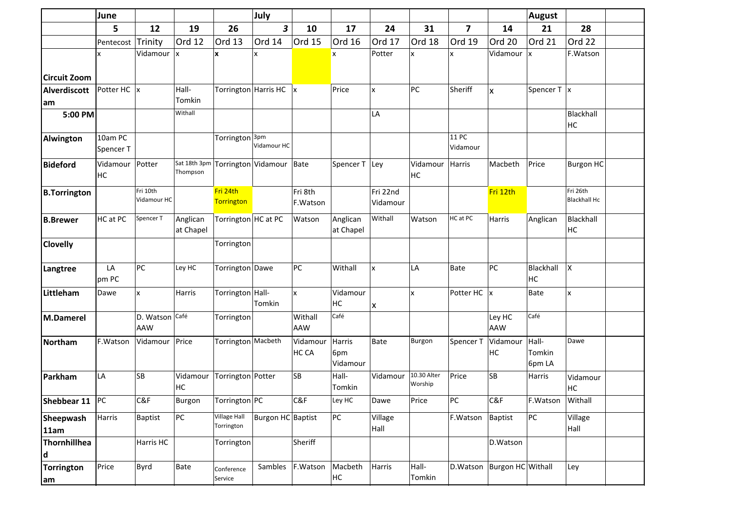|                     | June                 |                              |                       |                                   | July                    |                          |                           |                      |                        |                         |                               | <b>August</b>             |                                 |  |
|---------------------|----------------------|------------------------------|-----------------------|-----------------------------------|-------------------------|--------------------------|---------------------------|----------------------|------------------------|-------------------------|-------------------------------|---------------------------|---------------------------------|--|
|                     | 5                    | 12                           | 19                    | 26                                | 3                       | 10                       | 17                        | 24                   | 31                     | $\overline{\mathbf{z}}$ | 14                            | 21                        | 28                              |  |
|                     | Pentecost            | Trinity                      | Ord 12                | Ord 13                            | Ord 14                  | Ord 15                   | Ord 16                    | Ord 17               | Ord 18                 | Ord 19                  | Ord 20                        | Ord 21                    | Ord 22                          |  |
| <b>Circuit Zoom</b> | x                    | Vidamour                     | İχ                    | x                                 |                         |                          | x                         | Potter               | X                      | x                       | Vidamour                      | lχ                        | F.Watson                        |  |
| <b>Alverdiscott</b> | Potter HC  x         |                              | Hall-                 |                                   | Torrington Harris HC  x |                          | Price                     | X                    | PC                     | Sheriff                 | X                             | Spencer $T$  x            |                                 |  |
| am                  |                      |                              | Tomkin                |                                   |                         |                          |                           |                      |                        |                         |                               |                           |                                 |  |
| 5:00 PM             |                      |                              | Withall               |                                   |                         |                          |                           | LA                   |                        |                         |                               |                           | Blackhall<br>HC                 |  |
| Alwington           | 10am PC<br>Spencer T |                              |                       | Torrington <sup>3pm</sup>         | Vidamour HC             |                          |                           |                      |                        | 11 PC<br>Vidamour       |                               |                           |                                 |  |
| <b>Bideford</b>     | Vidamour<br>HC       | Potter                       | Thompson              | Sat 18th 3pm Torrington Vidamour  |                         | Bate                     | Spencer T Ley             |                      | Vidamour<br>HC         | Harris                  | Macbeth                       | Price                     | <b>Burgon HC</b>                |  |
| <b>B.Torrington</b> |                      | Fri 10th<br>Vidamour HC      |                       | Fri 24th<br><b>Torrington</b>     |                         | Fri 8th<br>F.Watson      |                           | Fri 22nd<br>Vidamour |                        |                         | Fri 12th                      |                           | Fri 26th<br><b>Blackhall Hc</b> |  |
| <b>B.Brewer</b>     | HC at PC             | Spencer T                    | Anglican<br>at Chapel | Torrington HC at PC               |                         | Watson                   | Anglican<br>at Chapel     | Withall              | Watson                 | HC at PC                | Harris                        | Anglican                  | Blackhall<br>HC                 |  |
| <b>Clovelly</b>     |                      |                              |                       | Torrington                        |                         |                          |                           |                      |                        |                         |                               |                           |                                 |  |
| Langtree            | LA<br>pm PC          | PC                           | Ley HC                | Torrington Dawe                   |                         | PC                       | Withall                   | <b>x</b>             | LA                     | Bate                    | PC                            | Blackhall<br>HC           | $\pmb{\mathsf{X}}$              |  |
| Littleham           | Dawe                 | $\mathsf{x}$                 | <b>Harris</b>         | Torrington Hall-                  | Tomkin                  | x                        | Vidamour<br>HC            | x                    | x                      | Potter HC  x            |                               | <b>Bate</b>               | $\pmb{\mathsf{x}}$              |  |
| M.Damerel           |                      | D. Watson Gafé<br><b>AAW</b> |                       | Torrington                        |                         | Withall<br>AAW           | Café                      |                      |                        |                         | Ley HC<br>AAW                 | Café                      |                                 |  |
| Northam             | F.Watson             | Vidamour                     | Price                 | Torrington Macbeth                |                         | Vidamour<br>HC CA        | Harris<br>6pm<br>Vidamour | Bate                 | Burgon                 | Spencer T               | Vidamour<br>HC                | Hall-<br>Tomkin<br>6pm LA | Dawe                            |  |
| Parkham             | LA                   | <b>SB</b>                    | Vidamour<br>HC        | Torrington Potter                 |                         | SB                       | Hall-<br>Tomkin           | Vidamour             | 10.30 Alter<br>Worship | Price                   | <b>SB</b>                     | Harris                    | Vidamour<br>HC                  |  |
| Shebbear 11 PC      |                      | C&F                          | Burgon                | Torrington PC                     |                         | C&F                      | Ley HC                    | Dawe                 | Price                  | PC                      | C&F                           | F.Watson Withall          |                                 |  |
| Sheepwash<br>11am   | Harris               | Baptist                      | PC                    | <b>Village Hall</b><br>Torrington | Burgon HC Baptist       |                          | PC                        | Village<br>Hall      |                        | F.Watson                | <b>Baptist</b>                | PC                        | Village<br>Hall                 |  |
| Thornhillhea<br> d  |                      | Harris HC                    |                       | Torrington                        |                         | Sheriff                  |                           |                      |                        |                         | D.Watson                      |                           |                                 |  |
| Torrington<br> am   | Price                | Byrd                         | Bate                  | Conference<br>Service             |                         | Sambles F.Watson Macbeth | HC                        | Harris               | Hall-<br>Tomkin        |                         | D. Watson   Burgon HC Withall |                           | Ley                             |  |